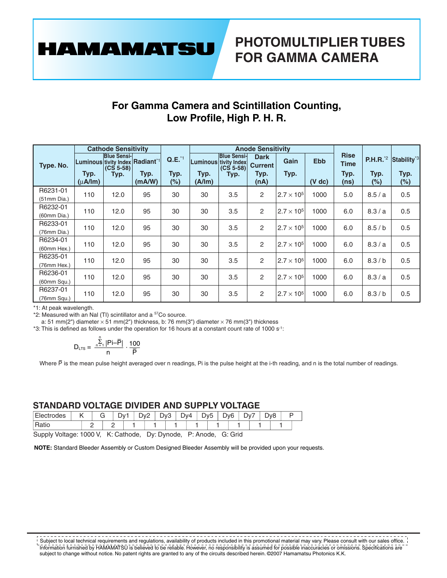**HAMAMATSU** 

## **For Gamma Camera and Scintillation Counting, Low Profile, High P. H. R.**

|                         |                                                                | <b>Cathode Sensitivity</b>                |                |                              |                |                                                                           | <b>Anode Sensitivity</b>                      |                     |                        |                                     |                                               |                                        |
|-------------------------|----------------------------------------------------------------|-------------------------------------------|----------------|------------------------------|----------------|---------------------------------------------------------------------------|-----------------------------------------------|---------------------|------------------------|-------------------------------------|-----------------------------------------------|----------------------------------------|
| Type. No.               | Luminous tivity Index Radiant <sup>*1</sup><br>Typ.<br>(uA/Im) | <b>Blue Sensi-</b><br>$(CS 5-58)$<br>Typ. | Typ.<br>(mA/W) | $Q.E.^{1}$<br>Typ.<br>$(\%)$ | Typ.<br>(A/lm) | <b>Blue Sensi-</b><br><b>Luminous tivity Index</b><br>$(CS 5-58)$<br>Typ. | <b>Dark</b><br><b>Current</b><br>Typ.<br>(nA) | Gain<br>Typ.        | <b>Ebb</b><br>$(V$ dc) | <b>Rise</b><br>Time<br>Typ.<br>(ns) | <b>P.H.R.</b> <sup>*2</sup><br>Typ.<br>$(\%)$ | Stability <sup>*3</sup><br>Typ.<br>(%) |
| R6231-01<br>(51mm Dia.) | 110                                                            | 12.0                                      | 95             | 30                           | 30             | 3.5                                                                       | 2                                             | $2.7 \times 10^{5}$ | 1000                   | 5.0                                 | 8.5/a                                         | 0.5                                    |
| R6232-01<br>(60mm Dia.) | 110                                                            | 12.0                                      | 95             | 30                           | 30             | 3.5                                                                       | 2                                             | $2.7 \times 10^{5}$ | 1000                   | 6.0                                 | 8.3/a                                         | 0.5                                    |
| R6233-01<br>(76mm Dia.) | 110                                                            | 12.0                                      | 95             | 30                           | 30             | 3.5                                                                       | $\overline{2}$                                | $2.7 \times 10^{5}$ | 1000                   | 6.0                                 | 8.5/b                                         | 0.5                                    |
| R6234-01<br>(60mm Hex.) | 110                                                            | 12.0                                      | 95             | 30                           | 30             | 3.5                                                                       | $\overline{2}$                                | $2.7 \times 10^{5}$ | 1000                   | 6.0                                 | 8.3/a                                         | 0.5                                    |
| R6235-01<br>(76mm Hex.) | 110                                                            | 12.0                                      | 95             | 30                           | 30             | 3.5                                                                       | $\overline{2}$                                | $2.7 \times 10^{5}$ | 1000                   | 6.0                                 | 8.3/b                                         | 0.5                                    |
| R6236-01<br>(60mm Squ.) | 110                                                            | 12.0                                      | 95             | 30                           | 30             | 3.5                                                                       | 2                                             | $2.7 \times 10^{5}$ | 1000                   | 6.0                                 | 8.3/a                                         | 0.5                                    |
| R6237-01<br>(76mm Squ.) | 110                                                            | 12.0                                      | 95             | 30                           | 30             | 3.5                                                                       | $\overline{2}$                                | $2.7 \times 10^{5}$ | 1000                   | 6.0                                 | 8.3/b                                         | 0.5                                    |

\*1: At peak wavelength.

\*2: Measured with an Nal (TI) scintillator and a <sup>57</sup>Co source.

a: 51 mm(2") diameter  $\times$  51 mm(2") thickness, b: 76 mm(3") diameter  $\times$  76 mm(3") thickness

\*3: This is defined as follows under the operation for 16 hours at a constant count rate of 1000 s-1:

$$
D_{LTS} = \frac{\sum_{n=1}^{n} |Pi - \overline{P}|}{n} \cdot \frac{100}{\overline{P}}
$$

Where P is the mean pulse height averaged over n readings, Pi is the pulse height at the i-th reading, and n is the total number of readings.

#### **STANDARD VOLTAGE DIVIDER AND SUPPLY VOLTAGE**

| Ek<br>uues.       |  | ~<br>$\mathbf{\tau}$<br>◡ |  | Dv<br>- |  | -<br>-<br>$\mathbf{w}$ |  | ר.<br>$\overline{\phantom{a}}$<br>◡<br>ີ |  | v4<br>◡ |  | -<br>∽<br>٧ċ<br>ັ |  | הער |  | ∽<br>۱ν<br>◡ |  | $\overline{\phantom{0}}$<br>$\overline{\phantom{a}}$<br>אענ<br>◡<br>ັ |  |  |  |
|-------------------|--|---------------------------|--|---------|--|------------------------|--|------------------------------------------|--|---------|--|-------------------|--|-----|--|--------------|--|-----------------------------------------------------------------------|--|--|--|
| $DA+$<br>. .<br>. |  |                           |  |         |  |                        |  |                                          |  |         |  |                   |  |     |  |              |  |                                                                       |  |  |  |

Supply Voltage: 1000 V, K: Cathode, Dy: Dynode, P: Anode, G: Grid

**NOTE:** Standard Bleeder Assembly or Custom Designed Bleeder Assembly will be provided upon your requests.

. . . . . . . . . . . . . Subject to local technical requirements and regulations, availability of products included in this promotional material may vary. Please consult with our sales office. Information furnished by HAMAMATSU is believed to be reliable. However, no responsibility is assumed for possible inaccuracies or omissions. Specifications are subject to change without notice. No patent rights are granted to any of the circuits described herein. ©2007 Hamamatsu Photonics K.K.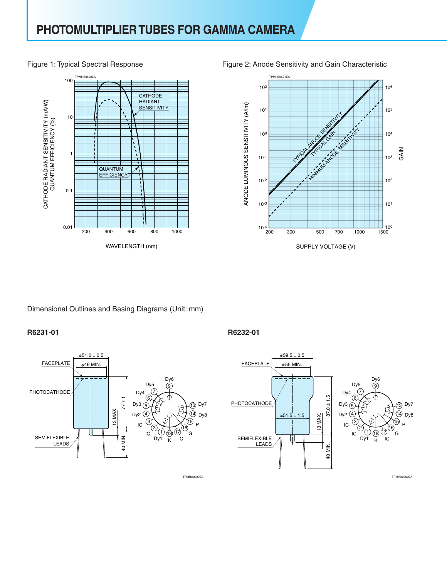#### Figure 1: Typical Spectral Response





Figure 2: Anode Sensitivity and Gain Characteristic

### Dimensional Outlines and Basing Diagrams (Unit: mm)

#### **R6231-01 R6232-01**



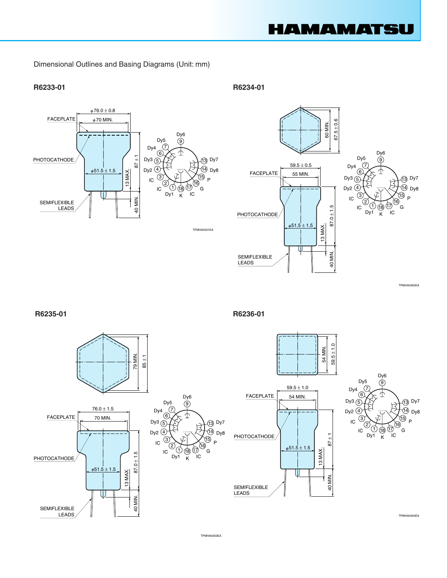

Dimensional Outlines and Basing Diagrams (Unit: mm)

#### **R6233-01 R6234-01**





G ĨС

15 16

9

TPMHA0302EA

Dy7 13

**R6235-01 R6236-01**





TPMHA0303EA